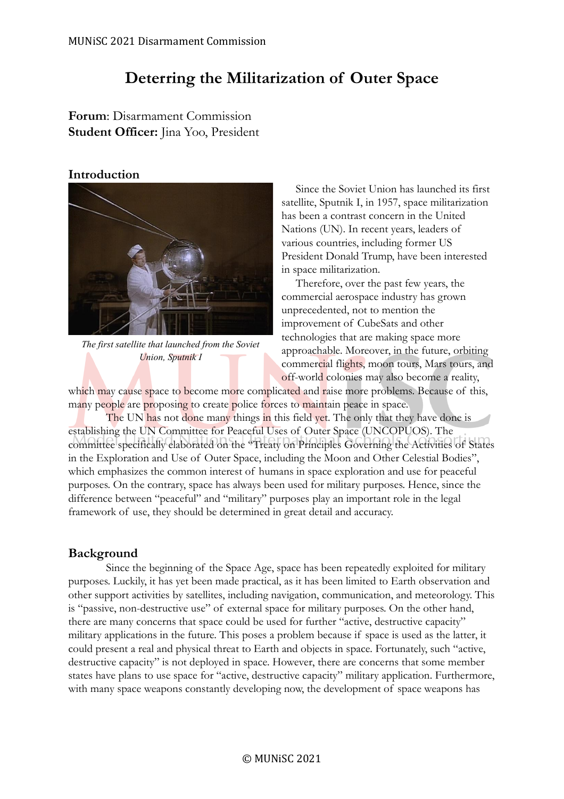# **Deterring the Militarization of Outer Space**

**Forum**: Disarmament Commission **Student Officer:** Jina Yoo, President

### **Introduction**



*The first satellite that launched from the Soviet Union, Sputnik I*

Since the Soviet Union has launched its first satellite, Sputnik I, in 1957, space militarization has been a contrast concern in the United Nations (UN). In recent years, leaders of various countries, including former US President Donald Trump, have been interested in space militarization.

Therefore, over the past few years, the commercial aerospace industry has grown unprecedented, not to mention the improvement of CubeSats and other technologies that are making space more approachable. Moreover, in the future, orbiting commercial flights, moon tours, Mars tours, and off-world colonies may also become a reality,

which may cause space to become more complicated and raise more problems. Because of this, many people are proposing to create police forces to maintain peace in space.

The UN has not done many things in this field yet. The only that they have done is establishing the UN Committee for Peaceful Uses of Outer Space (UNCOPUOS). The committee specifically elaborated on the "Treaty on Principles Governing the Activities of States in the Exploration and Use of Outer Space, including the Moon and Other Celestial Bodies", which emphasizes the common interest of humans in space exploration and use for peaceful purposes. On the contrary, space has always been used for military purposes. Hence, since the difference between "peaceful" and "military" purposes play an important role in the legal framework of use, they should be determined in great detail and accuracy.

# **Background**

Since the beginning of the Space Age, space has been repeatedly exploited for military purposes. Luckily, it has yet been made practical, as it has been limited to Earth observation and other support activities by satellites, including navigation, communication, and meteorology. This is "passive, non-destructive use" of external space for military purposes. On the other hand, there are many concerns that space could be used for further "active, destructive capacity" military applications in the future. This poses a problem because if space is used as the latter, it could present a real and physical threat to Earth and objects in space. Fortunately, such "active, destructive capacity" is not deployed in space. However, there are concerns that some member states have plans to use space for "active, destructive capacity" military application. Furthermore, with many space weapons constantly developing now, the development of space weapons has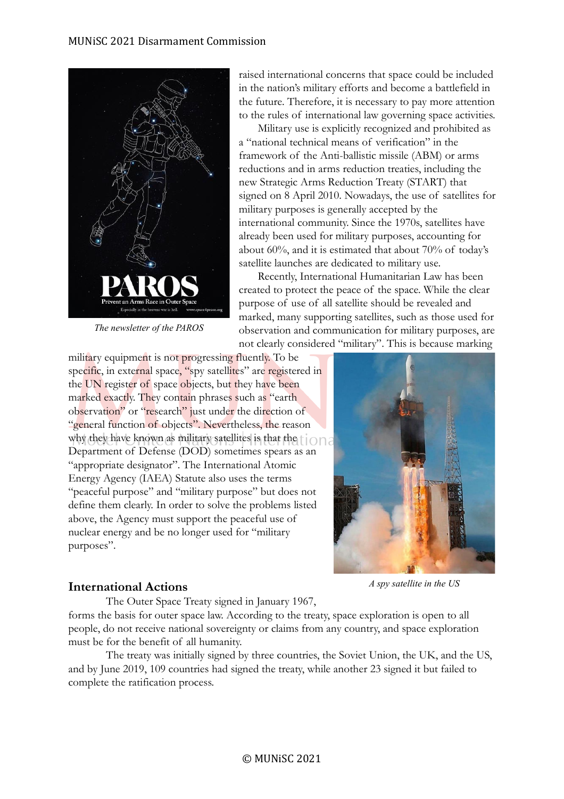

*The newsletter of the PAROS*

raised international concerns that space could be included in the nation's military efforts and become a battlefield in the future. Therefore, it is necessary to pay more attention to the rules of international law governing space activities.

Military use is explicitly recognized and prohibited as a "national technical means of verification" in the framework of the Anti-ballistic missile (ABM) or arms reductions and in arms reduction treaties, including the new Strategic Arms Reduction Treaty (START) that signed on 8 April 2010. Nowadays, the use of satellites for military purposes is generally accepted by the international community. Since the 1970s, satellites have already been used for military purposes, accounting for about 60%, and it is estimated that about 70% of today's satellite launches are dedicated to military use.

Recently, International Humanitarian Law has been created to protect the peace of the space. While the clear purpose of use of all satellite should be revealed and marked, many supporting satellites, such as those used for observation and communication for military purposes, are not clearly considered "military". This is because marking

military equipment is not progressing fluently. To be specific, in external space, "spy satellites" are registered in the UN register of space objects, but they have been marked exactly. They contain phrases such as "earth observation" or "research" just under the direction of "general function of objects". Nevertheless, the reason why they have known as military satellites is that the  $\Box$ Department of Defense (DOD) sometimes spears as an "appropriate designator". The International Atomic Energy Agency (IAEA) Statute also uses the terms "peaceful purpose" and "military purpose" but does not define them clearly. In order to solve the problems listed above, the Agency must support the peaceful use of nuclear energy and be no longer used for "military purposes".



### **International Actions**

*A spy satellite in the US*

The Outer Space Treaty signed in January 1967, forms the basis for outer space law. According to the treaty, space exploration is open to all people, do not receive national sovereignty or claims from any country, and space exploration must be for the benefit of all humanity.

The treaty was initially signed by three countries, the Soviet Union, the UK, and the US, and by June 2019, 109 countries had signed the treaty, while another 23 signed it but failed to complete the ratification process.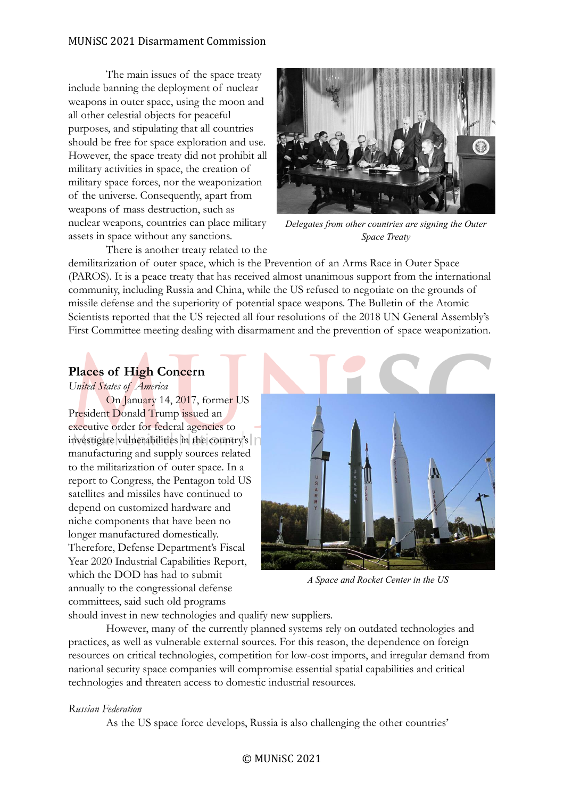### MUNiSC 2021 Disarmament Commission

The main issues of the space treaty include banning the deployment of nuclear weapons in outer space, using the moon and all other celestial objects for peaceful purposes, and stipulating that all countries should be free for space exploration and use. However, the space treaty did not prohibit all military activities in space, the creation of military space forces, nor the weaponization of the universe. Consequently, apart from weapons of mass destruction, such as nuclear weapons, countries can place military assets in space without any sanctions.



*Delegates from other countries are signing the Outer Space Treaty*

There is another treaty related to the

demilitarization of outer space, which is the Prevention of an Arms Race in Outer Space (PAROS). It is a peace treaty that has received almost unanimous support from the international community, including Russia and China, while the US refused to negotiate on the grounds of missile defense and the superiority of potential space weapons. The Bulletin of the Atomic Scientists reported that the US rejected all four resolutions of the 2018 UN General Assembly's First Committee meeting dealing with disarmament and the prevention of space weaponization.

# **Places of High Concern**

*United States of America*

On January 14, 2017, former US President Donald Trump issued an executive order for federal agencies to investigate vulnerabilities in the country's manufacturing and supply sources related to the militarization of outer space. In a report to Congress, the Pentagon told US satellites and missiles have continued to depend on customized hardware and niche components that have been no longer manufactured domestically. Therefore, Defense Department's Fiscal Year 2020 Industrial Capabilities Report, which the DOD has had to submit annually to the congressional defense committees, said such old programs



*A Space and Rocket Center in the US*

should invest in new technologies and qualify new suppliers.

However, many of the currently planned systems rely on outdated technologies and practices, as well as vulnerable external sources. For this reason, the dependence on foreign resources on critical technologies, competition for low-cost imports, and irregular demand from national security space companies will compromise essential spatial capabilities and critical technologies and threaten access to domestic industrial resources.

### *Russian Federation*

As the US space force develops, Russia is also challenging the other countries'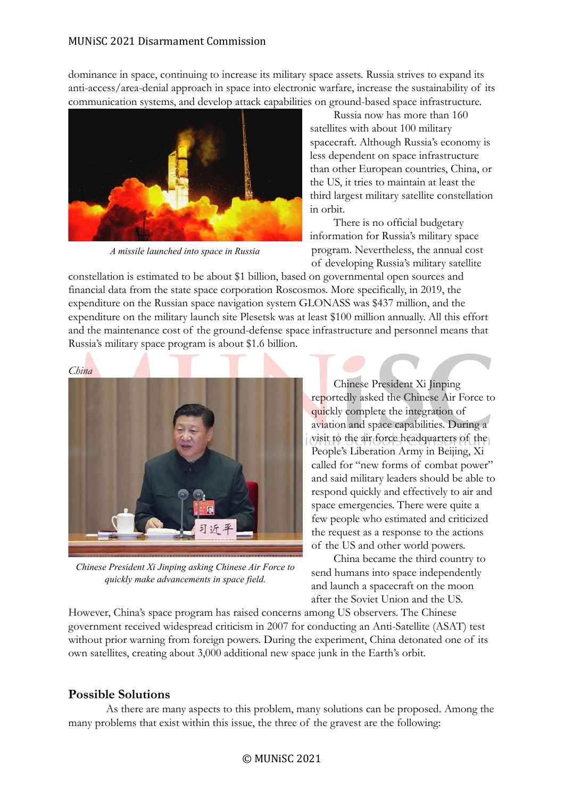dominance in space, continuing to increase its military space assets. Russia strives to expand its anti-access/area-denial approach in space into electronic warfare, increase the sustainability of its communication systems, and develop attack capabilities on ground-based space infrastructure.



*A missile launched into space in Russia*

Russia now has more than 160 satellites with about 100 military spacecraft. Although Russia's economy is less dependent on space infrastructure than other European countries, China, or the US, it tries to maintain at least the third largest military satellite constellation in orbit.

There is no official budgetary information for Russia's military space program. Nevertheless, the annual cost of developing Russia's military satellite

constellation is estimated to be about \$1 billion, based on governmental open sources and financial data from the state space corporation Roscosmos. More specifically, in 2019, the expenditure on the Russian space navigation system GLONASS was \$437 million, and the expenditure on the military launch site Plesetsk was at least \$100 million annually. All this effort and the maintenance cost of the ground-defense space infrastructure and personnel means that Russia's military space program is about \$1.6 billion.



*Chinese President Xi Jinping asking Chinese Air Force to quickly make advancements in space field.*

Chinese President Xi Jinping reportedly asked the Chinese Air Force to quickly complete the integration of aviation and space capabilities. During a visit to the air force headquarters of the People's Liberation Army in Beijing, Xi called for "new forms of combat power" and said military leaders should be able to respond quickly and effectively to air and space emergencies. There were quite a few people who estimated and criticized the request as a response to the actions of the US and other world powers.

China became the third country to send humans into space independently and launch a spacecraft on the moon after the Soviet Union and the US.

However, China's space program has raised concerns among US observers. The Chinese government received widespread criticism in 2007 for conducting an Anti-Satellite (ASAT) test without prior warning from foreign powers. During the experiment, China detonated one of its own satellites, creating about 3,000 additional new space junk in the Earth's orbit.

# **Possible Solutions**

As there are many aspects to this problem, many solutions can be proposed. Among the many problems that exist within this issue, the three of the gravest are the following: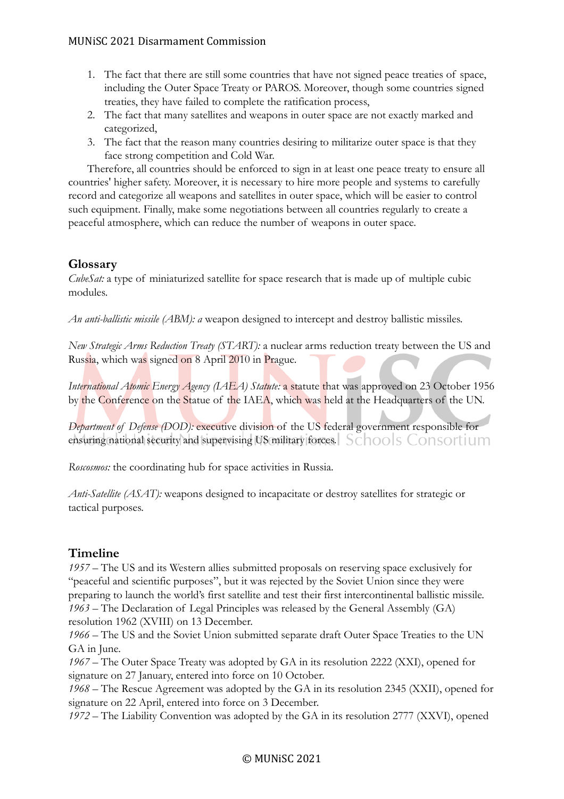- 1. The fact that there are still some countries that have not signed peace treaties of space, including the Outer Space Treaty or PAROS. Moreover, though some countries signed treaties, they have failed to complete the ratification process,
- 2. The fact that many satellites and weapons in outer space are not exactly marked and categorized,
- 3. The fact that the reason many countries desiring to militarize outer space is that they face strong competition and Cold War.

Therefore, all countries should be enforced to sign in at least one peace treaty to ensure all countries' higher safety. Moreover, it is necessary to hire more people and systems to carefully record and categorize all weapons and satellites in outer space, which will be easier to control such equipment. Finally, make some negotiations between all countries regularly to create a peaceful atmosphere, which can reduce the number of weapons in outer space.

# **Glossary**

*CubeSat:* a type of miniaturized satellite for space research that is made up of multiple cubic modules.

*An anti-ballistic missile (ABM): a* weapon designed to intercept and destroy ballistic missiles.

*New Strategic Arms Reduction Treaty (START):* a nuclear arms reduction treaty between the US and Russia, which was signed on 8 April 2010 in Prague.

*International Atomic Energy Agency (IAEA) Statute: a statute* that was approved on 23 October 1956 by the Conference on the Statue of the IAEA, which was held at the Headquarters of the UN.

*Department of Defense (DOD):* executive division of the US federal government responsible for ensuring national security and supervising US military forces. Schools Consortium

*Roscosmos:* the coordinating hub for space activities in Russia.

*Anti-Satellite (ASAT):* weapons designed to incapacitate or destroy satellites for strategic or tactical purposes.

# **Timeline**

*1957 –* The US and its Western allies submitted proposals on reserving space exclusively for "peaceful and scientific purposes", but it was rejected by the Soviet Union since they were preparing to launch the world's first satellite and test their first intercontinental ballistic missile. *1963 –* The Declaration of Legal Principles was released by the General Assembly (GA) resolution 1962 (XVIII) on 13 December.

*1966 –* The US and the Soviet Union submitted separate draft Outer Space Treaties to the UN GA in June.

*1967 –* The Outer Space Treaty was adopted by GA in its resolution 2222 (XXI), opened for signature on 27 January, entered into force on 10 October.

*1968 –* The Rescue Agreement was adopted by the GA in its resolution 2345 (XXII), opened for signature on 22 April, entered into force on 3 December.

*1972 –* The Liability Convention was adopted by the GA in its resolution 2777 (XXVI), opened

# © MUNiSC 2021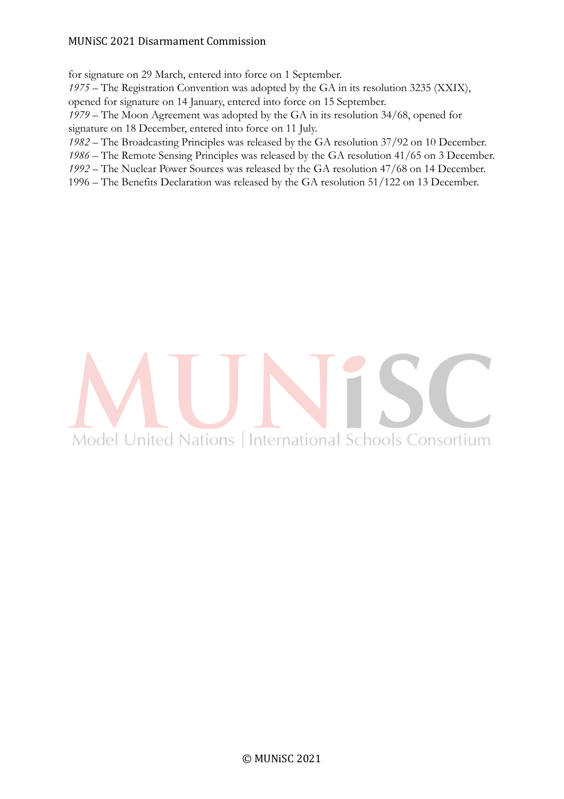### MUNiSC 2021 Disarmament Commission

for signature on 29 March, entered into force on 1 September.

*1975 –* The Registration Convention was adopted by the GA in its resolution 3235 (XXIX), opened for signature on 14 January, entered into force on 15 September.

*1979 –* The Moon Agreement was adopted by the GA in its resolution 34/68, opened for signature on 18 December, entered into force on 11 July.

*1982 –* The Broadcasting Principles was released by the GA resolution 37/92 on 10 December.

*1986 –* The Remote Sensing Principles was released by the GA resolution 41/65 on 3 December.

*1992 –* The Nuclear Power Sources was released by the GA resolution 47/68 on 14 December.

1996 – The Benefits Declaration was released by the GA resolution 51/122 on 13 December.

# Model United Nations | International Schools Consortium